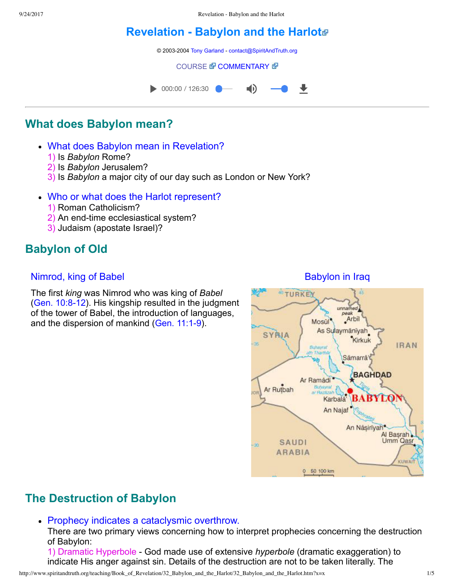9/24/2017 Revelation - Babylon and the Harlot

# **Revelation - Babylon and the Harlot**®

© 2003-2004 [Tony Garland](http://www.spiritandtruth.org/teaching/teachers/tony_garland/bio.htm) - [contact@SpiritAndTruth.org](mailto:contact@SpiritAndTruth.org?subject=ST-MAIL:%20Revelation%20-%20Babylon%20and%20the%20Harlot)

**[COURSE](http://www.spiritandtruth.org/teaching/Book_of_Revelation/32_Babylon_and_the_Harlot/index.htm) & [COMMENTARY](http://www.spiritandtruth.org/teaching/Book_of_Revelation/commentary/htm/index.html?Babylon_and_the_Harlot) &** 



# **What does Babylon mean?**

- What does Babylon mean in Revelation?
	- 1) Is *Babylon* Rome?
	- 2) Is *Babylon* Jerusalem?
	- 3) Is *Babylon* a major city of our day such as London or New York?
- Who or what does the Harlot represent?
	- 1) Roman Catholicism?
	- 2) An end-time ecclesiastical system?
	- 3) Judaism (apostate Israel)?

# **Babylon of Old**

#### Nimrod, king of Babel

The first *king* was Nimrod who was king of *Babel*  $(Gen. 10:8-12)$ . His kingship resulted in the judgment of the tower of Babel, the introduction of languages, and the dispersion of mankind [\(Gen. 11:19\)](http://www.spiritandtruth.org/bibles/nasb/b01c011.htm#Gen._C11V1).



# **The Destruction of Babylon**

• Prophecy indicates a cataclysmic overthrow.

There are two primary views concerning how to interpret prophecies concerning the destruction of Babylon:

1) Dramatic Hyperbole God made use of extensive *hyperbole* (dramatic exaggeration) to indicate His anger against sin. Details of the destruction are not to be taken literally. The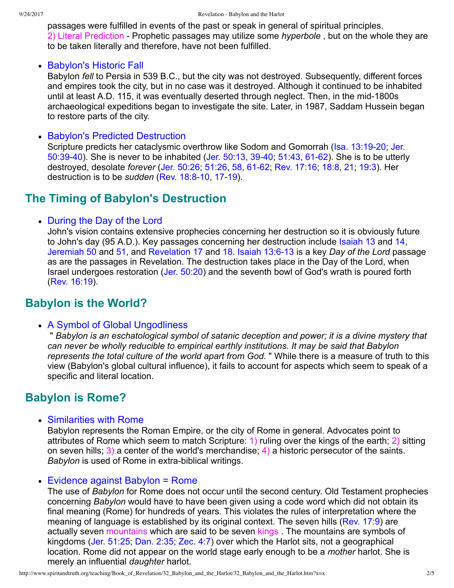passages were fulfilled in events of the past or speak in general of spiritual principles. 2) Literal Prediction Prophetic passages may utilize some *hyperbole* , but on the whole they are to be taken literally and therefore, have not been fulfilled.

#### • Babylon's Historic Fall

Babylon *fell* to Persia in 539 B.C., but the city was not destroyed. Subsequently, different forces and empires took the city, but in no case was it destroyed. Although it continued to be inhabited until at least A.D. 115, it was eventually deserted through neglect. Then, in the mid-1800s archaeological expeditions began to investigate the site. Later, in 1987, Saddam Hussein began to restore parts of the city.

#### • Babylon's Predicted Destruction

Scripture predicts her cataclysmic overthrow like Sodom and Gomorrah (Isa. 13:19-20; Jer. 50:39-40). She is never to be inhabited (Jer.  $50:13$ ,  $39-40$ ,  $51:43$ ,  $61-62$ ). She is to be utterly destroyed, desolate *forever* ([Jer. 50:26;](http://www.spiritandtruth.org/bibles/nasb/b24c050.htm#Jer._C50V26) [51:26](http://www.spiritandtruth.org/bibles/nasb/b24c051.htm#Jer._C51V26), [58,](http://www.spiritandtruth.org/bibles/nasb/b24c051.htm#Jer._C51V58) 61-62; [Rev. 17:16](http://www.spiritandtruth.org/bibles/nasb/b66c017.htm#Rev._C17V16), [18:8](http://www.spiritandtruth.org/bibles/nasb/b66c018.htm#Rev._C18V8), [21;](http://www.spiritandtruth.org/bibles/nasb/b66c018.htm#Rev._C18V21) [19:3\)](http://www.spiritandtruth.org/bibles/nasb/b66c019.htm#Rev._C19V3). Her destruction is to be *sudden* (Rev. 18:8-10, 17-19).

### **The Timing of Babylon's Destruction**

#### • During the Day of the Lord

John's vision contains extensive prophecies concerning her destruction so it is obviously future to John's day (95 A.D.). Key passages concerning her destruction include [Isaiah 13](http://www.spiritandtruth.org/bibles/nasb/b23c013.htm#Isa._C13V1) and [14,](http://www.spiritandtruth.org/bibles/nasb/b23c014.htm#Isa._C14V1) [Jeremiah 50](http://www.spiritandtruth.org/bibles/nasb/b24c050.htm#Jer._C50V1) and [51](http://www.spiritandtruth.org/bibles/nasb/b24c051.htm#Jer._C51V1), and [Revelation 17](http://www.spiritandtruth.org/bibles/nasb/b66c017.htm#Rev._C17V1) and [18.](http://www.spiritandtruth.org/bibles/nasb/b66c018.htm#Rev._C18V1) [Isaiah 13:613](http://www.spiritandtruth.org/bibles/nasb/b23c013.htm#Isa._C13V6) is a key *Day of the Lord* passage as are the passages in Revelation. The destruction takes place in the Day of the Lord, when Israel undergoes restoration ([Jer. 50:20](http://www.spiritandtruth.org/bibles/nasb/b24c050.htm#Jer._C50V20)) and the seventh bowl of God's wrath is poured forth [\(Rev. 16:19\)](http://www.spiritandtruth.org/bibles/nasb/b66c016.htm#Rev._C16V19).

### **Babylon is the World?**

#### • A Symbol of Global Ungodliness

 " *Babylon is an eschatological symbol of satanic deception and power; it is a divine mystery that can never be wholly reducible to empirical earthly institutions. It may be said that Babylon represents the total culture of the world apart from God.* " While there is a measure of truth to this view (Babylon's global cultural influence), it fails to account for aspects which seem to speak of a specific and literal location.

### **Babylon is Rome?**

Similarities with Rome

Babylon represents the Roman Empire, or the city of Rome in general. Advocates point to attributes of Rome which seem to match Scripture: 1) ruling over the kings of the earth; 2) sitting on seven hills; 3) a center of the world's merchandise; 4) a historic persecutor of the saints. *Babylon* is used of Rome in extra-biblical writings.

#### • Evidence against Babylon = Rome

The use of *Babylon* for Rome does not occur until the second century. Old Testament prophecies concerning *Babylon* would have to have been given using a code word which did not obtain its final meaning (Rome) for hundreds of years. This violates the rules of interpretation where the meaning of language is established by its original context. The seven hills ([Rev. 17:9](http://www.spiritandtruth.org/bibles/nasb/b66c017.htm#Rev._C17V9)) are actually seven mountains which are said to be seven kings . The mountains are symbols of kingdoms ([Jer. 51:25;](http://www.spiritandtruth.org/bibles/nasb/b24c051.htm#Jer._C51V25) [Dan. 2:35](http://www.spiritandtruth.org/bibles/nasb/b27c002.htm#Dan._C2V35); [Zec. 4:7](http://www.spiritandtruth.org/bibles/nasb/b38c004.htm#Zec._C4V7)) over which the Harlot sits, not a geographical location. Rome did not appear on the world stage early enough to be a *mother* harlot. She is merely an influential *daughter* harlot.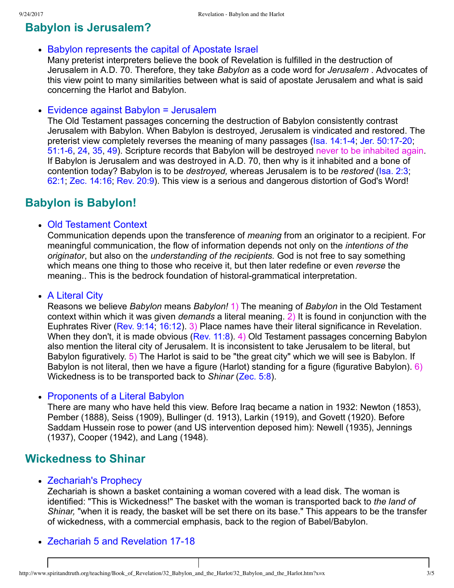# **Babylon is Jerusalem?**

• Babylon represents the capital of Apostate Israel

Many preterist interpreters believe the book of Revelation is fulfilled in the destruction of Jerusalem in A.D. 70. Therefore, they take *Babylon* as a code word for *Jerusalem* . Advocates of this view point to many similarities between what is said of apostate Jerusalem and what is said concerning the Harlot and Babylon.

Evidence against Babylon = Jerusalem

The Old Testament passages concerning the destruction of Babylon consistently contrast Jerusalem with Babylon. When Babylon is destroyed, Jerusalem is vindicated and restored. The preterist view completely reverses the meaning of many passages (Isa. 14:1-4; Jer. 50:17-20; [51:16](http://www.spiritandtruth.org/bibles/nasb/b24c051.htm#Jer._C51V1), [24](http://www.spiritandtruth.org/bibles/nasb/b24c051.htm#Jer._C51V24), [35](http://www.spiritandtruth.org/bibles/nasb/b24c051.htm#Jer._C51V35), [49](http://www.spiritandtruth.org/bibles/nasb/b24c051.htm#Jer._C51V49)). Scripture records that Babylon will be destroyed never to be inhabited again. If Babylon is Jerusalem and was destroyed in A.D. 70, then why is it inhabited and a bone of contention today? Babylon is to be *destroyed,* whereas Jerusalem is to be *restored* [\(Isa. 2:3](http://www.spiritandtruth.org/bibles/nasb/b23c002.htm#Isa._C2V3); [62:1](http://www.spiritandtruth.org/bibles/nasb/b23c062.htm#Isa._C62V1); [Zec. 14:16;](http://www.spiritandtruth.org/bibles/nasb/b38c014.htm#Zec._C14V16) [Rev. 20:9](http://www.spiritandtruth.org/bibles/nasb/b66c020.htm#Rev._C20V9)). This view is a serious and dangerous distortion of God's Word!

## **Babylon is Babylon!**

#### Old Testament Context

Communication depends upon the transference of *meaning* from an originator to a recipient. For meaningful communication, the flow of information depends not only on the *intentions of the originator*, but also on the *understanding of the recipients.* God is not free to say something which means one thing to those who receive it, but then later redefine or even *reverse* the meaning.. This is the bedrock foundation of historal-grammatical interpretation.

#### • A Literal City

Reasons we believe *Babylon* means *Babylon!* 1) The meaning of *Babylon* in the Old Testament context within which it was given *demands* a literal meaning. 2) It is found in conjunction with the Euphrates River [\(Rev. 9:14;](http://www.spiritandtruth.org/bibles/nasb/b66c009.htm#Rev._C9V14) [16:12\)](http://www.spiritandtruth.org/bibles/nasb/b66c016.htm#Rev._C16V12). 3) Place names have their literal significance in Revelation. When they don't, it is made obvious ([Rev. 11:8](http://www.spiritandtruth.org/bibles/nasb/b66c011.htm#Rev._C11V8)). 4) Old Testament passages concerning Babylon also mention the literal city of Jerusalem. It is inconsistent to take Jerusalem to be literal, but Babylon figuratively. 5) The Harlot is said to be "the great city" which we will see is Babylon. If Babylon is not literal, then we have a figure (Harlot) standing for a figure (figurative Babylon). 6) Wickedness is to be transported back to *Shinar* [\(Zec. 5:8\)](http://www.spiritandtruth.org/bibles/nasb/b38c005.htm#Zec._C5V8).

#### Proponents of a Literal Babylon

There are many who have held this view. Before Iraq became a nation in 1932: Newton (1853), Pember (1888), Seiss (1909), Bullinger (d. 1913), Larkin (1919), and Govett (1920). Before Saddam Hussein rose to power (and US intervention deposed him): Newell (1935), Jennings (1937), Cooper (1942), and Lang (1948).

### **Wickedness to Shinar**

• Zechariah's Prophecy

Zechariah is shown a basket containing a woman covered with a lead disk. The woman is identified: "This is Wickedness!" The basket with the woman is transported back to *the land of Shinar,* "when it is ready, the basket will be set there on its base." This appears to be the transfer of wickedness, with a commercial emphasis, back to the region of Babel/Babylon.

• Zechariah [5](http://www.spiritandtruth.org/bibles/nasb/b38c005.htm#Zec._C5V1) and Revelation 17-18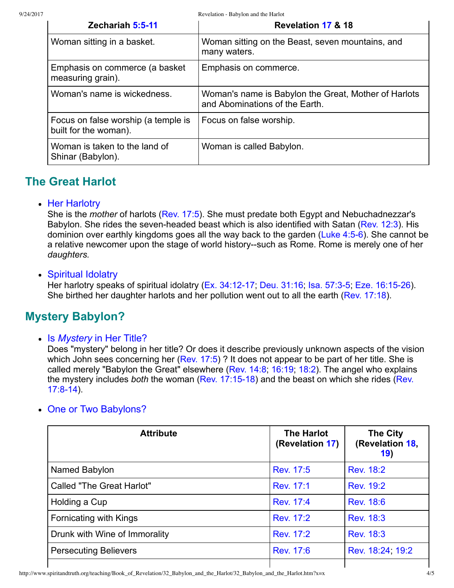9/24/2017 Revelation - Babylon and the Harlot

| Zechariah 5:5-11                                             | Revelation 17 & 18                                                                     |
|--------------------------------------------------------------|----------------------------------------------------------------------------------------|
| Woman sitting in a basket.                                   | Woman sitting on the Beast, seven mountains, and<br>many waters.                       |
| Emphasis on commerce (a basket<br>measuring grain).          | Emphasis on commerce.                                                                  |
| Woman's name is wickedness.                                  | Woman's name is Babylon the Great, Mother of Harlots<br>and Abominations of the Earth. |
| Focus on false worship (a temple is<br>built for the woman). | Focus on false worship.                                                                |
| Woman is taken to the land of<br>Shinar (Babylon).           | Woman is called Babylon.                                                               |

# **The Great Harlot**

#### • Her Harlotry

She is the *mother* of harlots [\(Rev. 17:5\)](http://www.spiritandtruth.org/bibles/nasb/b66c017.htm#Rev._C17V5). She must predate both Egypt and Nebuchadnezzar's Babylon. She rides the seven-headed beast which is also identified with Satan ([Rev. 12:3](http://www.spiritandtruth.org/bibles/nasb/b66c012.htm#Rev._C12V3)). His dominion over earthly kingdoms goes all the way back to the garden (Luke 4:5-6). She cannot be a relative newcomer upon the stage of world history--such as Rome. Rome is merely one of her *daughters.*

### • Spiritual Idolatry

Her harlotry speaks of spiritual idolatry (Ex. 34:12-17; [Deu. 31:16](http://www.spiritandtruth.org/bibles/nasb/b05c031.htm#Deu._C31V16); Isa. 57:3-5; Eze. 16:15-26). She birthed her daughter harlots and her pollution went out to all the earth ([Rev. 17:18](http://www.spiritandtruth.org/bibles/nasb/b66c017.htm#Rev._C17V18)).

# **Mystery Babylon?**

• Is *Mystery* in Her Title?

Does "mystery" belong in her title? Or does it describe previously unknown aspects of the vision which John sees concerning her ([Rev. 17:5\)](http://www.spiritandtruth.org/bibles/nasb/b66c017.htm#Rev._C17V5) ? It does not appear to be part of her title. She is called merely "Babylon the Great" elsewhere ([Rev. 14:8](http://www.spiritandtruth.org/bibles/nasb/b66c014.htm#Rev._C14V8); [16:19](http://www.spiritandtruth.org/bibles/nasb/b66c016.htm#Rev._C16V19); [18:2](http://www.spiritandtruth.org/bibles/nasb/b66c018.htm#Rev._C18V2)). The angel who explains the mystery includes *both* the woman (Rev. 17:15-18) and the beast on which she rides (Rev.  $17:8-14$ ).

| <b>Attribute</b>                 | <b>The Harlot</b><br>(Revelation 17) | <b>The City</b><br>(Revelation 18,<br>19) |
|----------------------------------|--------------------------------------|-------------------------------------------|
| Named Babylon                    | Rev. 17:5                            | <b>Rev. 18:2</b>                          |
| <b>Called "The Great Harlot"</b> | Rev. 17:1                            | Rev. 19:2                                 |
| Holding a Cup                    | Rev. 17:4                            | Rev. 18:6                                 |
| Fornicating with Kings           | Rev. 17:2                            | Rev. 18:3                                 |
| Drunk with Wine of Immorality    | Rev. 17:2                            | Rev. 18:3                                 |
| <b>Persecuting Believers</b>     | Rev. 17:6                            | Rev. 18:24; 19:2                          |
|                                  |                                      |                                           |

### • One or Two Babylons?